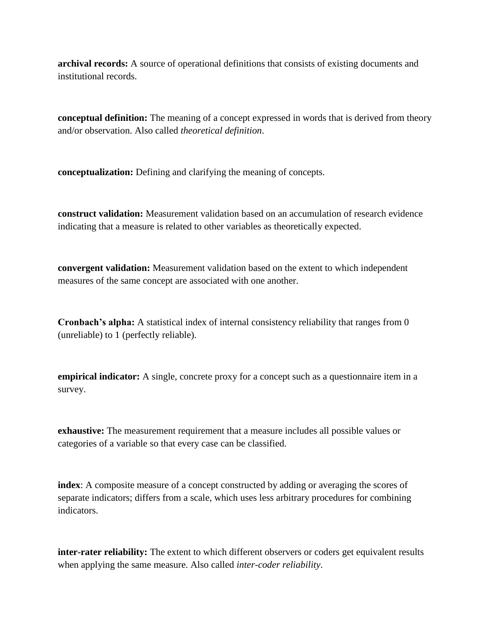**archival records:** A source of operational definitions that consists of existing documents and institutional records.

**conceptual definition:** The meaning of a concept expressed in words that is derived from theory and/or observation. Also called *theoretical definition*.

**conceptualization:** Defining and clarifying the meaning of concepts.

**construct validation:** Measurement validation based on an accumulation of research evidence indicating that a measure is related to other variables as theoretically expected.

**convergent validation:** Measurement validation based on the extent to which independent measures of the same concept are associated with one another.

**Cronbach's alpha:** A statistical index of internal consistency reliability that ranges from 0 (unreliable) to 1 (perfectly reliable).

**empirical indicator:** A single, concrete proxy for a concept such as a questionnaire item in a survey.

**exhaustive:** The measurement requirement that a measure includes all possible values or categories of a variable so that every case can be classified.

**index**: A composite measure of a concept constructed by adding or averaging the scores of separate indicators; differs from a scale, which uses less arbitrary procedures for combining indicators.

**inter-rater reliability:** The extent to which different observers or coders get equivalent results when applying the same measure. Also called *inter-coder reliability*.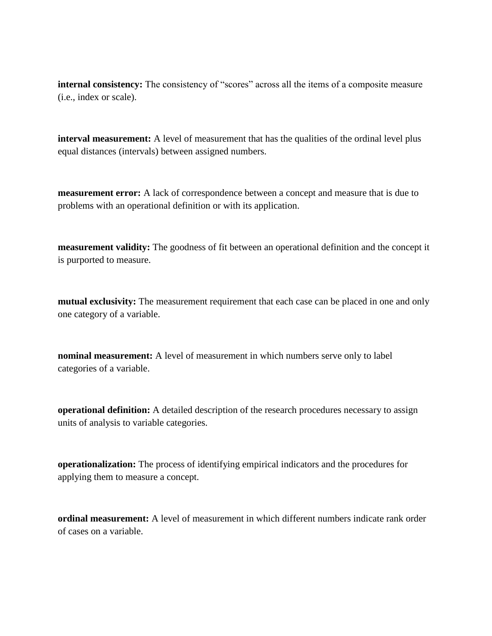**internal consistency:** The consistency of "scores" across all the items of a composite measure (i.e., index or scale).

**interval measurement:** A level of measurement that has the qualities of the ordinal level plus equal distances (intervals) between assigned numbers.

**measurement error:** A lack of correspondence between a concept and measure that is due to problems with an operational definition or with its application.

**measurement validity:** The goodness of fit between an operational definition and the concept it is purported to measure.

**mutual exclusivity:** The measurement requirement that each case can be placed in one and only one category of a variable.

**nominal measurement:** A level of measurement in which numbers serve only to label categories of a variable.

**operational definition:** A detailed description of the research procedures necessary to assign units of analysis to variable categories.

**operationalization:** The process of identifying empirical indicators and the procedures for applying them to measure a concept.

**ordinal measurement:** A level of measurement in which different numbers indicate rank order of cases on a variable.